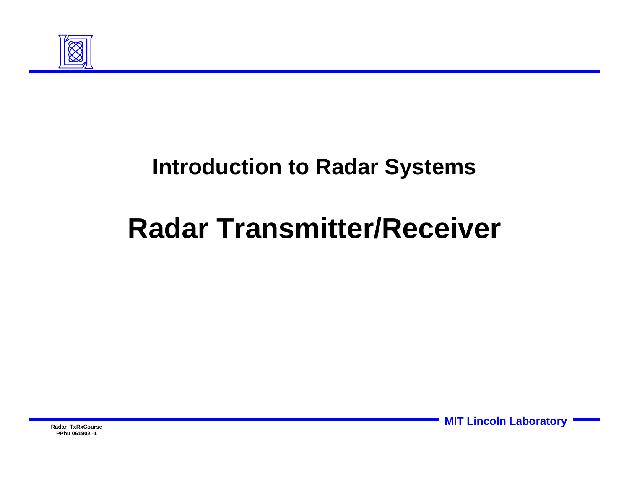

### **Introduction to Radar Systems**

# **Radar Transmitter/Receiver**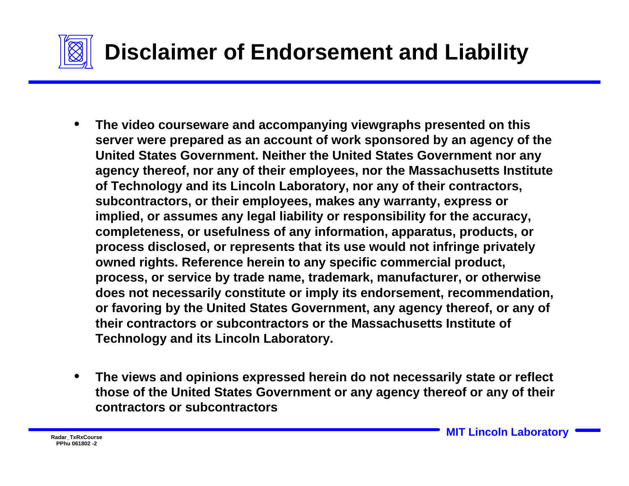

- **The video courseware and accompanying viewgraphs presented on this server were prepared as an account of work sponsored by an agency of the United States Government. Neither the United States Government nor any agency thereof, nor any of their employees, nor the Massachusetts Institute of Technology and its Lincoln Laboratory, nor any of their contractors, subcontractors, or their employees, makes any warranty, express or implied, or assumes any legal liability or responsibility for the accuracy, completeness, or usefulness of any information, apparatus, products, or process disclosed, or represents that its use would not infringe privately owned rights. Reference herein to any specific commercial product, process, or service by trade name, trademark, manufacturer, or otherwise does not necessarily constitute or imply its endorsement, recommendation, or favoring by the United States Government, any agency thereof, or any of their contractors or subcontractors or the Massachusetts Institute of Technology and its Lincoln Laboratory.**
- **The views and opinions expressed herein do not necessarily state or reflect those of the United States Government or any agency thereof or any of their contractors or subcontractors**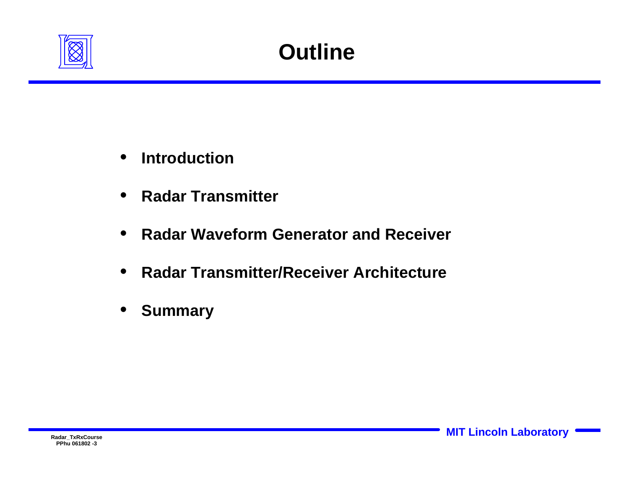

- **Introduction**
- **Radar Transmitter**
- **Radar Waveform Generator and Receiver**
- **Radar Transmitter/Receiver Architecture**
- **Summary**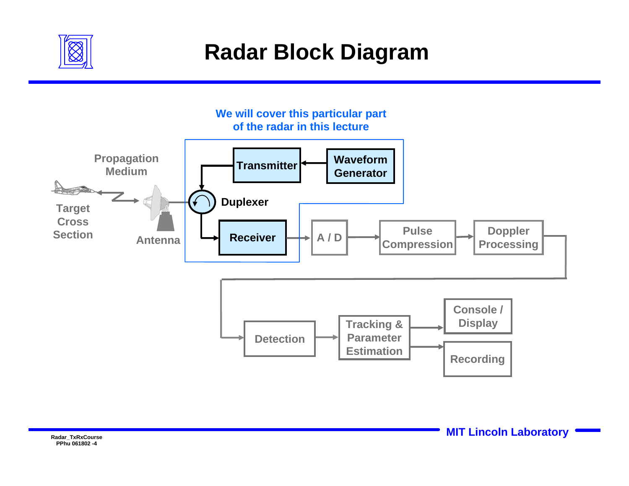

## **Radar Block Diagram**

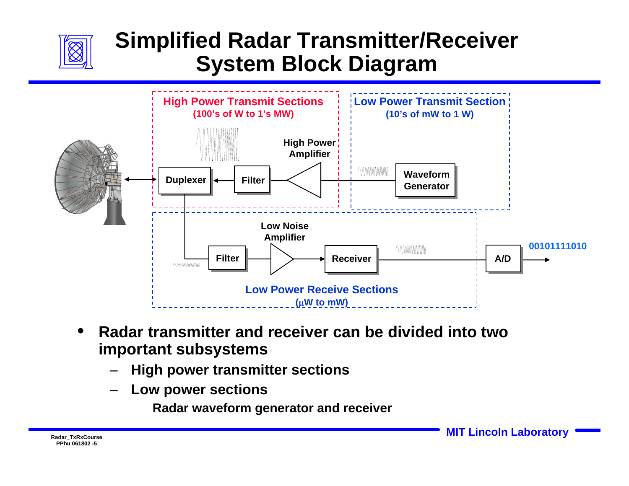

### **Simplified Radar Transmitter/Receiver System Block Diagram**



- **Radar transmitter and receiver can be divided into two important subsystems** 
	- **High power transmitter sections**
	- **Low power sections**

**Radar waveform generator and receiver**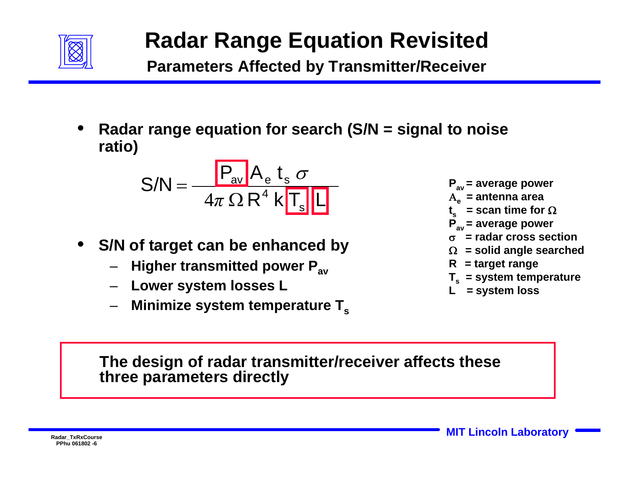

### **Radar Range Equation Revisited**

**Parameters Affected by Transmitter/Receiver**

• **Radar range equation for search (S/N = signal to noise ratio)**

$$
S/N = \frac{P_{av} A_e t_s \sigma}{4\pi \Omega R^4 k T_s L}
$$

- **S/N of target can be enhanced by** 
	- **Higher transmitted power Pav**
	- **Lower system losses L**
	- **Minimize system temperature Ts**

**Pav = average power**

- <sup>Α</sup>**e = antenna area**
- $t<sub>s</sub>$  = scan time for  $\Omega$
- **Pav = average power**
- σ**= radar cross section**
- Ω**= solid angle searched**
- **R = target range**
- **Ts = system temperature**
- **L = system loss**

**The design of radar transmitter/receiver affects these three parameters directly**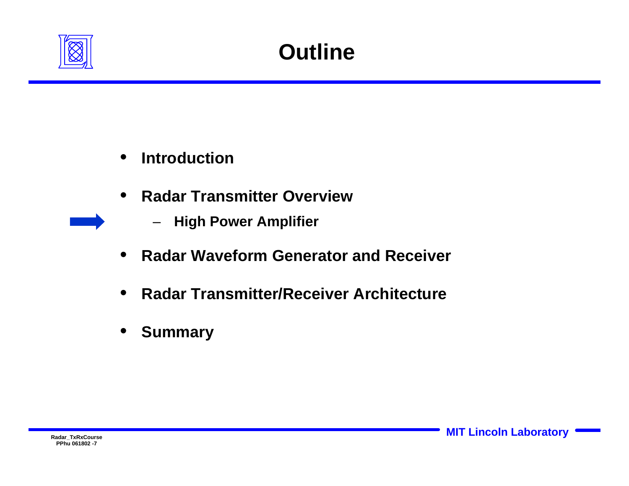

- **Introduction**
- **Radar Transmitter Overview** 
	- **High Power Amplifier**
- **Radar Waveform Generator and Receiver**
- **Radar Transmitter/Receiver Architecture**
- **Summary**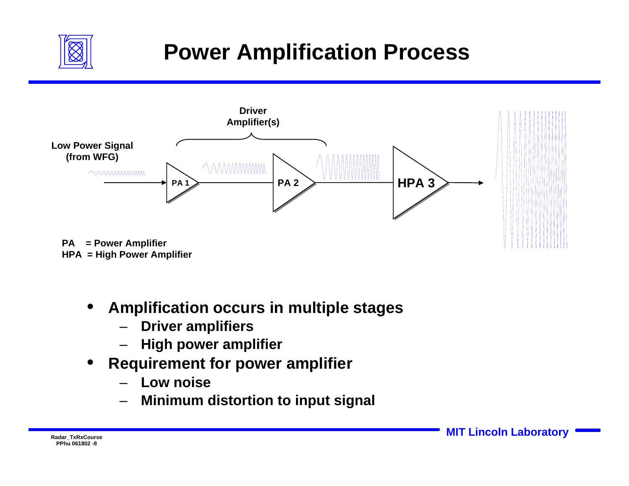

## **Power Amplification Process**



**HPA = High Power Amplifier**

- **Amplification occurs in multiple stages** 
	- **Driver amplifiers**
	- **High power amplifier**
- **Requirement for power amplifier** 
	- **Low noise**
	- **Minimum distortion to input signal**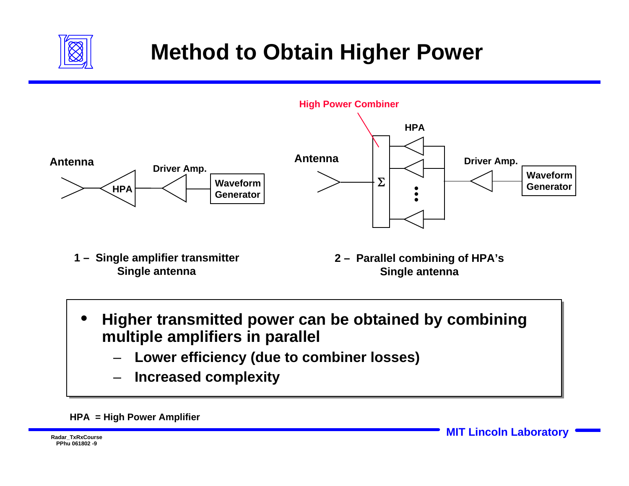

## **Method to Obtain Higher Power**



**1 – Single amplifier transmitter Single antenna**

- **2 Parallel combining of HPA's Single antenna**
- **Higher transmitted power can be obtained by combining multiple amplifiers in parallel** 
	- **Lower efficiency (due to combiner losses)**
	- **Increased complexity**

#### **HPA = High Power Amplifier**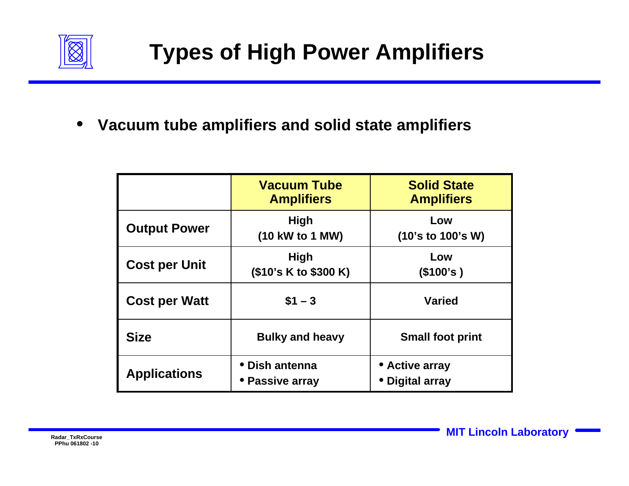

• **Vacuum tube amplifiers and solid state amplifiers** 

|                      | <b>Vacuum Tube</b><br><b>Amplifiers</b> | <b>Solid State</b><br><b>Amplifiers</b> |
|----------------------|-----------------------------------------|-----------------------------------------|
| <b>Output Power</b>  | <b>High</b><br>(10 kW to 1 MW)          | Low<br>(10's to 100's W)                |
| <b>Cost per Unit</b> | <b>High</b><br>(\$10's K to \$300 K)    | Low<br>(\$100's)                        |
| <b>Cost per Watt</b> | $$1 - 3$                                | <b>Varied</b>                           |
| <b>Size</b>          | <b>Bulky and heavy</b>                  | <b>Small foot print</b>                 |
| <b>Applications</b>  | • Dish antenna<br>• Passive array       | • Active array<br>• Digital array       |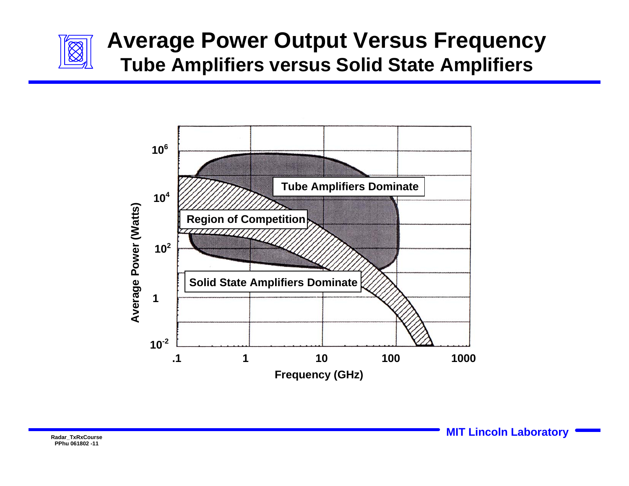

### **Average Power Output Versus Frequency Tube Amplifiers versus Solid State Amplifiers**

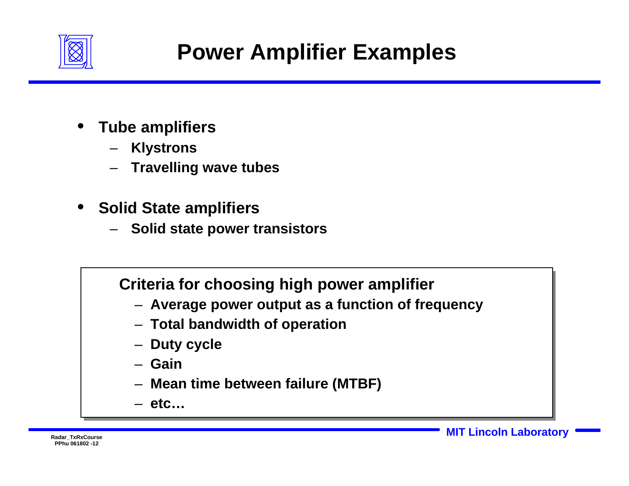

- **Tube amplifiers** 
	- **Klystrons**
	- **Travelling wave tubes**
- **Solid State amplifiers**
	- **Solid state power transistors**

### **Criteria for choosing high power amplifier**

- **Average power output as a function of frequency**
- **Total bandwidth of operation**
- **Duty cycle**
- **Gain**
- **Mean time between failure (MTBF)**
- **etc…**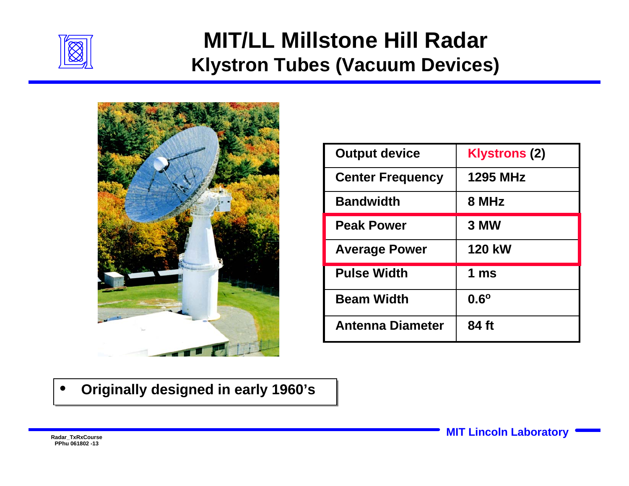

### **MIT/LL Millstone Hill Radar Klystron Tubes (Vacuum Devices)**



| <b>Output device</b>    | <b>Klystrons (2)</b> |  |
|-------------------------|----------------------|--|
| <b>Center Frequency</b> | <b>1295 MHz</b>      |  |
| <b>Bandwidth</b>        | 8 MHz                |  |
| <b>Peak Power</b>       | 3 MW                 |  |
| <b>Average Power</b>    | <b>120 kW</b>        |  |
| <b>Pulse Width</b>      | 1 $ms$               |  |
| <b>Beam Width</b>       | $0.6^\circ$          |  |
| <b>Antenna Diameter</b> | 84 ft                |  |

• • **Originally designed in early 1960's Originally designed in early 1960's**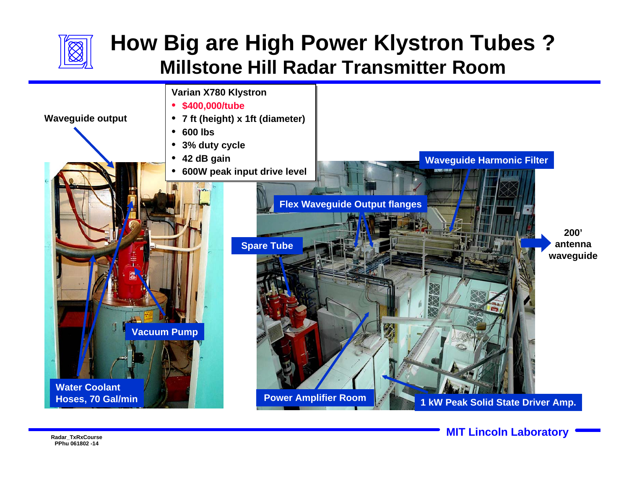

### **How Big are High Power Klystron Tubes ? Millstone Hill Radar Transmitter Room**

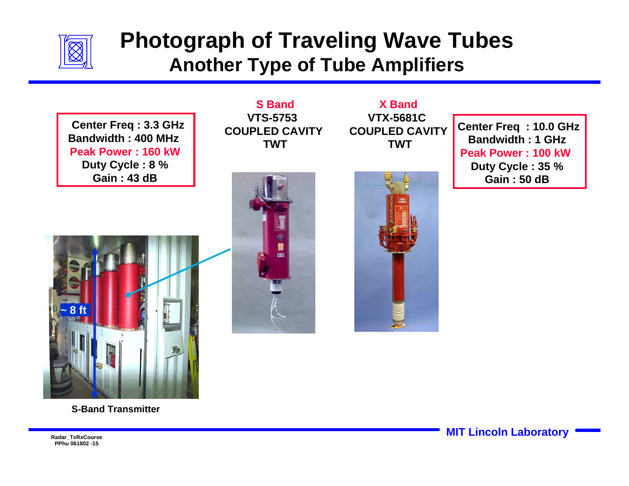

### **Photograph of Traveling Wave Tubes Another Type of Tube Amplifiers**

**Center Freq : 3.3 GHz Bandwidth : 400 MHz Peak Power : 160 kWDuty Cycle : 8 % Gain : 43 dB**



**X BandVTX-5681C COUPLED CAVITYTWT**

**Center Freq : 10.0 GHz Bandwidth : 1 GHzPeak Power : 100 kW Duty Cycle : 35 % Gain : 50 dB**







Radar\_TxRxCourse **MIT Lincoln Laboratory** 

**PPhu 061802 -15**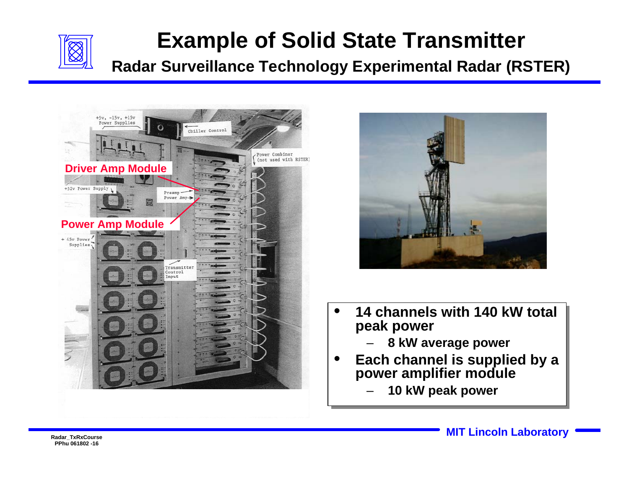

### **Example of Solid State Transmitter**

**Radar Surveillance Technology Experimental Radar (RSTER)**





- **14 channels with 140 kW total 14 channels with 140 kW total peak power peak power** 
	- **8 kW average power 8 kW average power**
- **Each channel is supplied by a Each channel is supplied by a power amplifier module power amplifier module**
	- **10 kW peak power 10 kW peak power**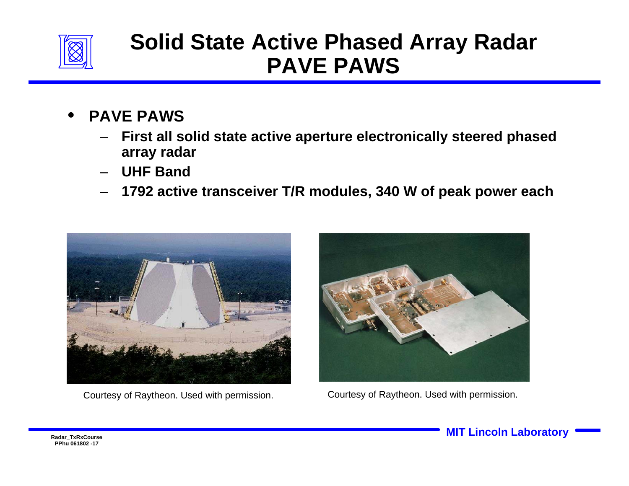

### **Solid State Active Phased Array Radar PAVE PAWS**

- **PAVE PAWS**
	- **First all solid state active aperture electronically steered phased array radar**
	- **UHF Band**
	- **1792 active transceiver T/R modules, 340 W of peak power each**





Courtesy of Raytheon. Used with permission. Courtesy of Raytheon. Used with permission.

Radar\_TxRxCourse **MIT Lincoln Laboratory**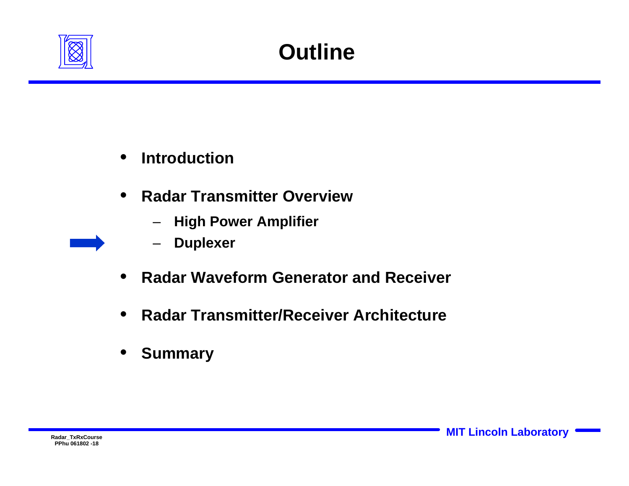

- **Introduction**
- **Radar Transmitter Overview** 
	- **High Power Amplifier**
	- **Duplexer**
- **Radar Waveform Generator and Receiver**
- **Radar Transmitter/Receiver Architecture**
- **Summary**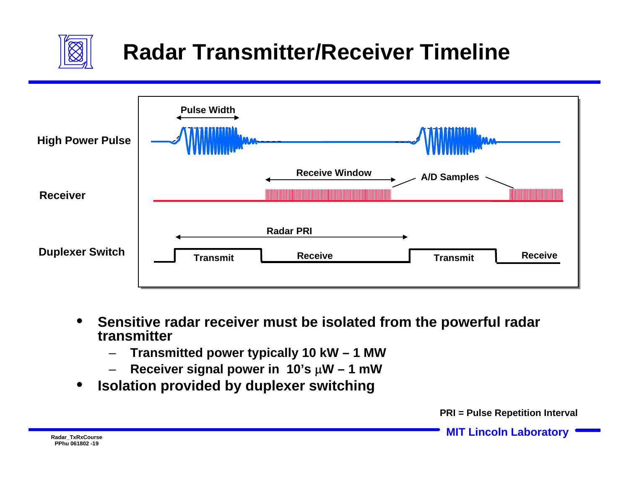

## **Radar Transmitter/Receiver Timeline**



- **Sensitive radar receiver must be isolated from the powerful radar transmitter** 
	- **Transmitted power typically 10 kW 1 MW**
	- **Receiver signal power in 10's** μ**W 1 mW**
- **Isolation provided by duplexer switching**

**PRI = Pulse Repetition Interval**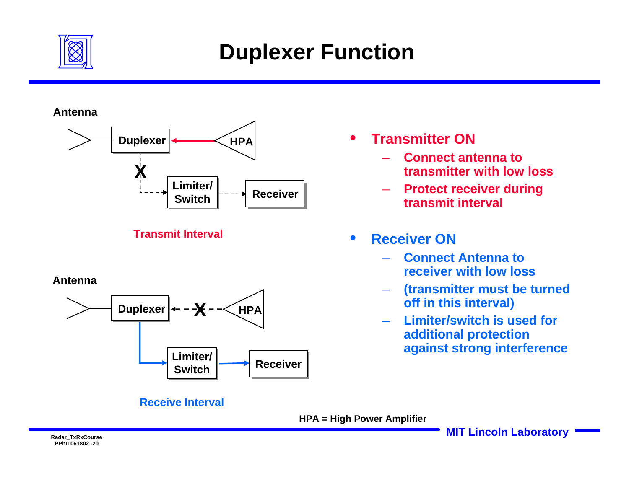

### **Duplexer Function**

#### **Antenna**



**Transmit Interval**

#### **Antenna**



#### **Receive Interval**

- **Transmitter ON**
	- **Connect antenna to transmitter with low loss**
	- **Protect receiver during transmit interval**

### • **Receiver ON**

- **Connect Antenna to receiver with low loss**
- **(transmitter must be turned off in this interval)**
- **Limiter/switch is used for additional protection against strong interference**

**HPA = High Power Amplifier**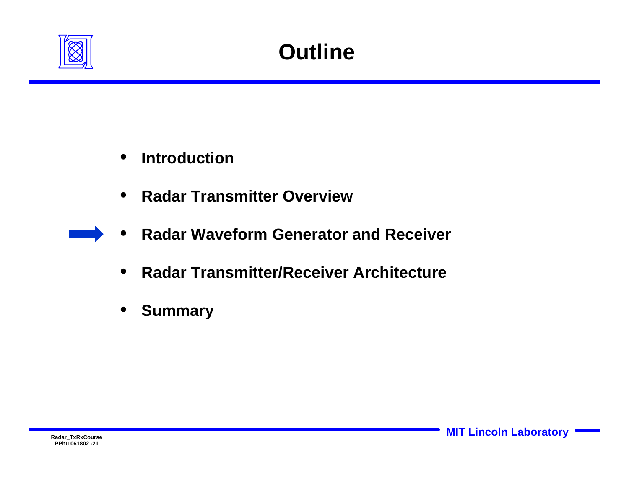

- **Introduction**
- **Radar Transmitter Overview**
- **Radar Waveform Generator and Receiver**
- **Radar Transmitter/Receiver Architecture**
- **Summary**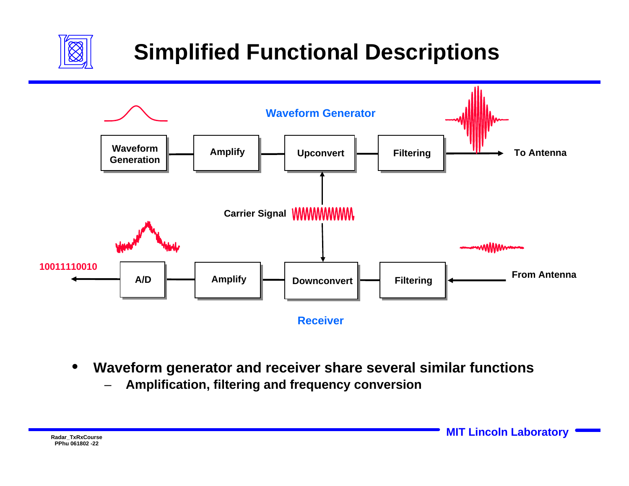

## **Simplified Functional Descriptions**



- **Waveform generator and receiver share several similar functions**
	- **Amplification, filtering and frequency conversion**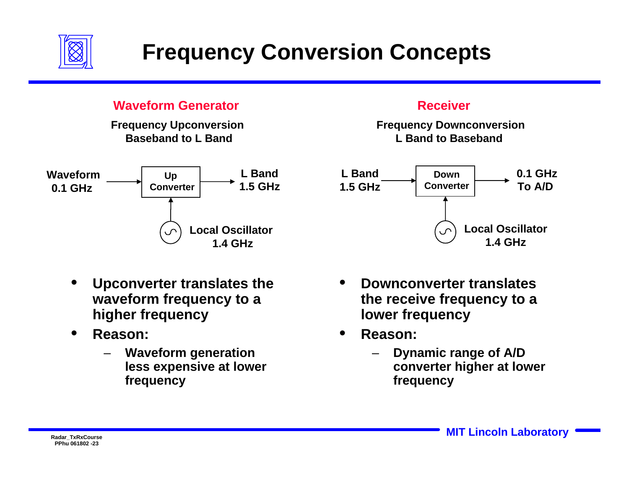

### **Frequency Conversion Concepts**

### **Waveform Generator**

**Frequency Upconversion Baseband to L Band**



- **Upconverter translates the waveform frequency to a higher frequency**
- **Reason:** 
	- **Waveform generation less expensive at lower frequency**

#### **Receiver**

**Frequency Downconversion L Band to Baseband** 



- **Downconverter translates the receive frequency to a lower frequency**
- **Reason:** 
	- **Dynamic range of A/D converter higher at lower frequency**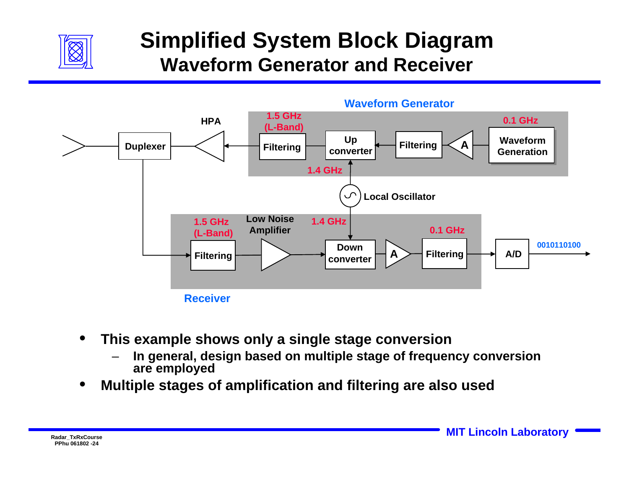

### **Simplified System Block Diagram Waveform Generator and Receiver**



- **This example shows only a single stage conversion** 
	- **In general, design based on multiple stage of frequency conversion are employed**
- **Multiple stages of amplification and filtering are also used**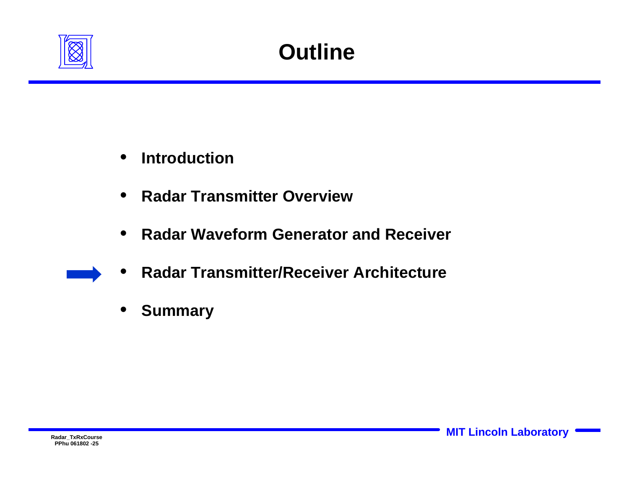

- **Introduction**
- **Radar Transmitter Overview**
- **Radar Waveform Generator and Receiver**
- **Radar Transmitter/Receiver Architecture**
- **Summary**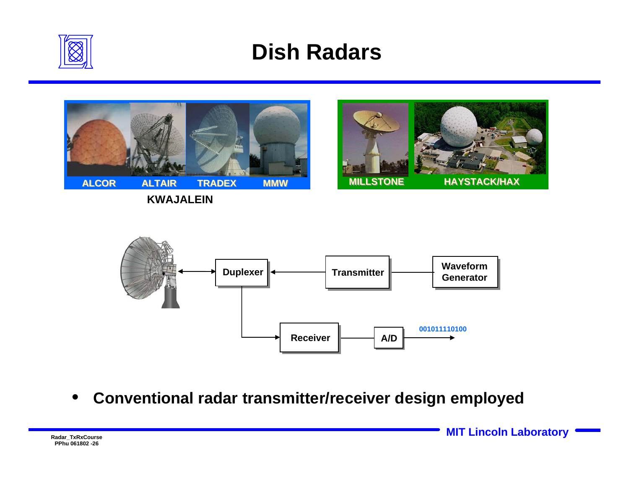

### **Dish Radars**



**KWAJALEIN**





• **Conventional radar transmitter/receiver design employed**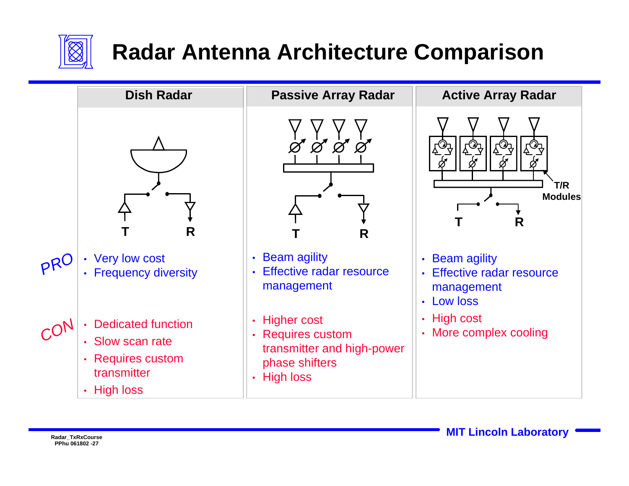

## **Radar Antenna Architecture Comparison**

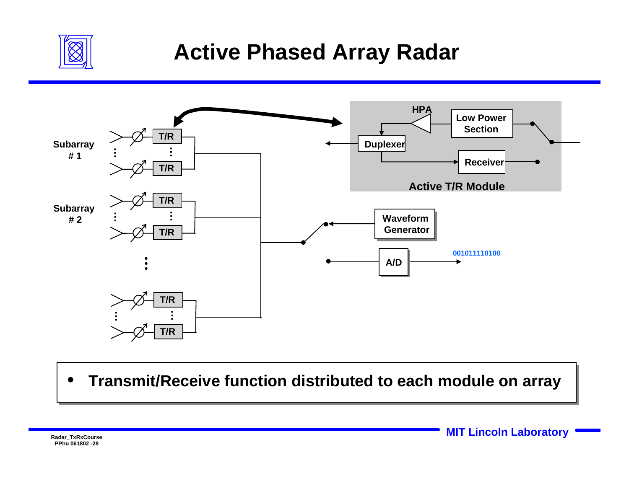

### **Active Phased Array Radar**



• **Transmit/Receive function distributed to each module on array**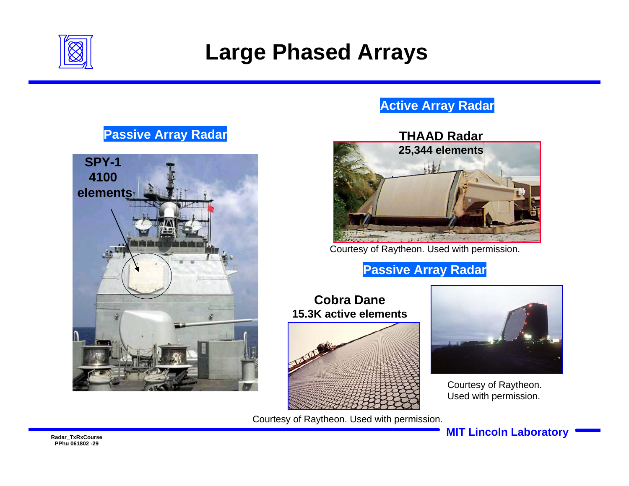

### **Large Phased Arrays**

### **Active Array Radar**

### **Passive Array Radar**





Courtesy of Raytheon. Used with permission.

### **Passive Array Radar**

#### **Cobra Dane15.3K active elements**



Courtesy of Raytheon. Used with permission.



Courtesy of Raytheon. Used with permission.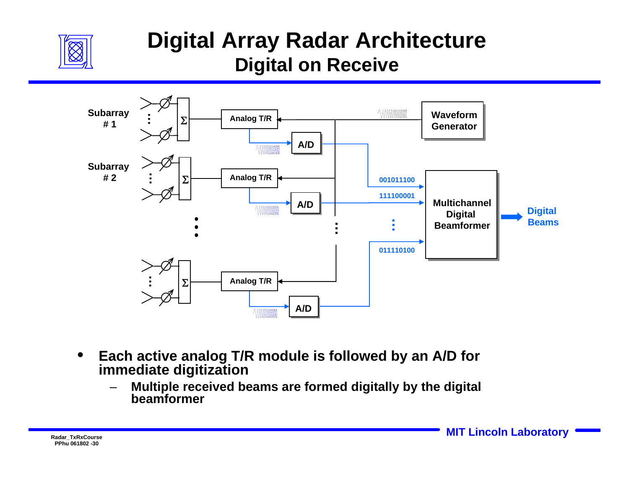

### **Digital Array Radar Architecture Digital on Receive**



- **Each active analog T/R module is followed by an A/D for immediate digitization**
	- **Multiple received beams are formed digitally by the digital beamformer**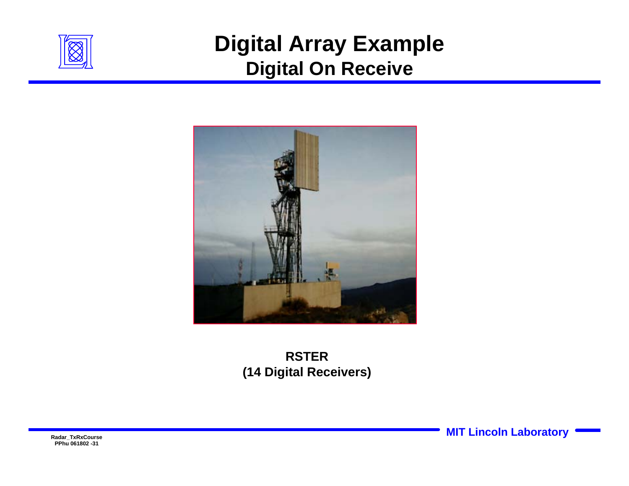

### **Digital Array Example Digital On Receive**



### **RSTER(14 Digital Receivers)**

**PPhu 061802 -31**

**Radar\_TxRxCourse MIT Lincoln Laboratory**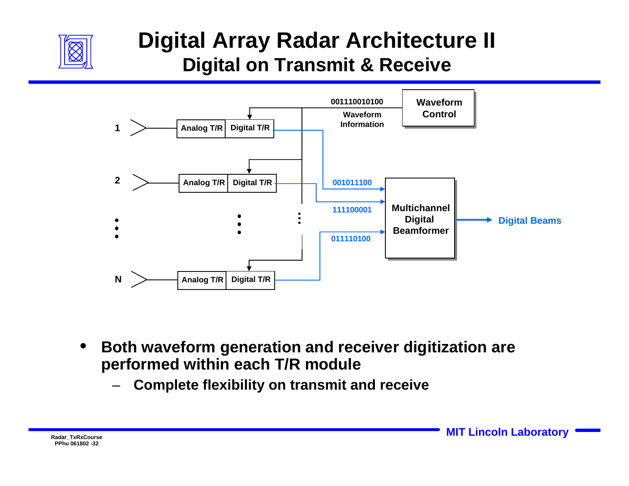

### **Digital Array Radar Architecture II Digital on Transmit & Receive**



- **Both waveform generation and receiver digitization are performed within each T/R module** 
	- **Complete flexibility on transmit and receive**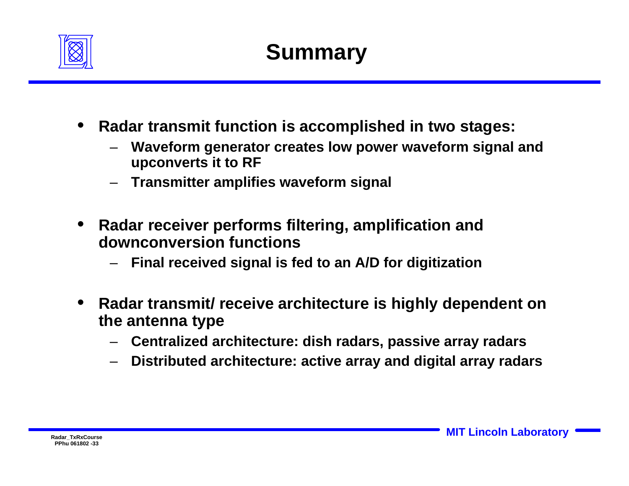

- **Radar transmit function is accomplished in two stages:** 
	- **Waveform generator creates low power waveform signal and upconverts it to RF**
	- **Transmitter amplifies waveform signal**
- **Radar receiver performs filtering, amplification and downconversion functions**
	- **Final received signal is fed to an A/D for digitization**
- **Radar transmit/ receive architecture is highly dependent on the antenna type** 
	- **Centralized architecture: dish radars, passive array radars**
	- **Distributed architecture: active array and digital array radars**